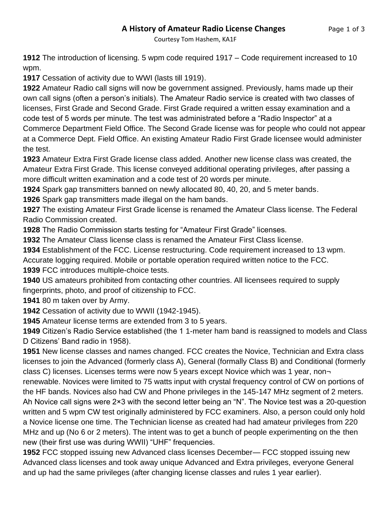## **A History of Amateur Radio License Changes** Page 1 of 3

Courtesy Tom Hashem, KA1F

**1912** The introduction of licensing. 5 wpm code required 1917 – Code requirement increased to 10 wpm.

**1917** Cessation of activity due to WWI (lasts till 1919).

**1922** Amateur Radio call signs will now be government assigned. Previously, hams made up their own call signs (often a person's initials). The Amateur Radio service is created with two classes of licenses, First Grade and Second Grade. First Grade required a written essay examination and a code test of 5 words per minute. The test was administrated before a "Radio Inspector" at a Commerce Department Field Office. The Second Grade license was for people who could not appear at a Commerce Dept. Field Office. An existing Amateur Radio First Grade licensee would administer the test.

**1923** Amateur Extra First Grade license class added. Another new license class was created, the Amateur Extra First Grade. This license conveyed additional operating privileges, after passing a more difficult written examination and a code test of 20 words per minute.

**1924** Spark gap transmitters banned on newly allocated 80, 40, 20, and 5 meter bands.

**1926** Spark gap transmitters made illegal on the ham bands.

**1927** The existing Amateur First Grade license is renamed the Amateur Class license. The Federal Radio Commission created.

**1928** The Radio Commission starts testing for "Amateur First Grade" licenses.

**1932** The Amateur Class license class is renamed the Amateur First Class license.

**1934** Establishment of the FCC. License restructuring. Code requirement increased to 13 wpm.

Accurate logging required. Mobile or portable operation required written notice to the FCC. **1939** FCC introduces multiple-choice tests.

**1940** US amateurs prohibited from contacting other countries. All licensees required to supply fingerprints, photo, and proof of citizenship to FCC.

**1941** 80 m taken over by Army.

**1942** Cessation of activity due to WWII (1942-1945).

**1945** Amateur license terms are extended from 3 to 5 years.

**1949** Citizen's Radio Service established (the 1 1-meter ham band is reassigned to models and Class D Citizens' Band radio in 1958).

**1951** New license classes and names changed. FCC creates the Novice, Technician and Extra class licenses to join the Advanced (formerly class A), General (formally Class B) and Conditional (formerly class C) licenses. Licenses terms were now 5 years except Novice which was 1 year, non renewable. Novices were limited to 75 watts input with crystal frequency control of CW on portions of the HF bands. Novices also had CW and Phone privileges in the 145-147 MHz segment of 2 meters. Ah Novice call signs were 2×3 with the second letter being an "N". The Novice test was a 20-question written and 5 wpm CW test originally administered by FCC examiners. Also, a person could only hold a Novice license one time. The Technician license as created had had amateur privileges from 220 MHz and up (No 6 or 2 meters). The intent was to get a bunch of people experimenting on the then new (their first use was during WWII) "UHF" frequencies.

**1952** FCC stopped issuing new Advanced class licenses December— FCC stopped issuing new Advanced class licenses and took away unique Advanced and Extra privileges, everyone General and up had the same privileges (after changing license classes and rules 1 year earlier).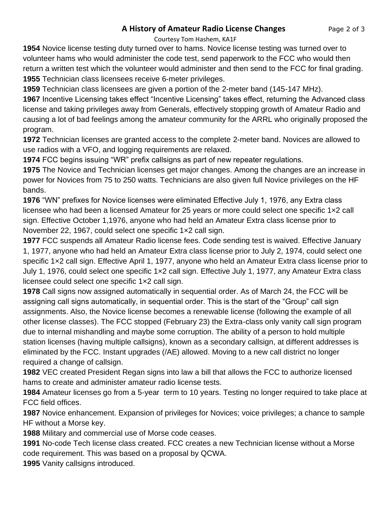## **A History of Amateur Radio License Changes** Page 2 of 3

Courtesy Tom Hashem, KA1F

**1954** Novice license testing duty turned over to hams. Novice license testing was turned over to volunteer hams who would administer the code test, send paperwork to the FCC who would then return a written test which the volunteer would administer and then send to the FCC for final grading. **1955** Technician class licensees receive 6-meter privileges.

**1959** Technician class licensees are given a portion of the 2-meter band (145-147 MHz).

**1967** Incentive Licensing takes effect "Incentive Licensing" takes effect, returning the Advanced class license and taking privileges away from Generals, effectively stopping growth of Amateur Radio and causing a lot of bad feelings among the amateur community for the ARRL who originally proposed the program.

**1972** Technician licenses are granted access to the complete 2-meter band. Novices are allowed to use radios with a VFO, and logging requirements are relaxed.

**1974** FCC begins issuing "WR" prefix callsigns as part of new repeater regulations.

**1975** The Novice and Technician licenses get major changes. Among the changes are an increase in power for Novices from 75 to 250 watts. Technicians are also given full Novice privileges on the HF bands.

**1976** "WN" prefixes for Novice licenses were eliminated Effective July 1, 1976, any Extra class licensee who had been a licensed Amateur for 25 years or more could select one specific 1×2 call sign. Effective October 1,1976, anyone who had held an Amateur Extra class license prior to November 22, 1967, could select one specific 1×2 call sign.

**1977** FCC suspends all Amateur Radio license fees. Code sending test is waived. Effective January 1, 1977, anyone who had held an Amateur Extra class license prior to July 2, 1974, could select one specific 1×2 call sign. Effective April 1, 1977, anyone who held an Amateur Extra class license prior to July 1, 1976, could select one specific 1×2 call sign. Effective July 1, 1977, any Amateur Extra class licensee could select one specific 1×2 call sign.

**1978** Call signs now assigned automatically in sequential order. As of March 24, the FCC will be assigning call signs automatically, in sequential order. This is the start of the "Group" call sign assignments. Also, the Novice license becomes a renewable license (following the example of all other license classes). The FCC stopped (February 23) the Extra-class only vanity call sign program due to internal mishandling and maybe some corruption. The ability of a person to hold multiple station licenses (having multiple callsigns), known as a secondary callsign, at different addresses is eliminated by the FCC. Instant upgrades (/AE) allowed. Moving to a new call district no longer required a change of callsign.

**1982** VEC created President Regan signs into law a bill that allows the FCC to authorize licensed hams to create and administer amateur radio license tests.

**1984** Amateur licenses go from a 5-year term to 10 years. Testing no longer required to take place at FCC field offices.

**1987** Novice enhancement. Expansion of privileges for Novices; voice privileges; a chance to sample HF without a Morse key.

**1988** Military and commercial use of Morse code ceases.

**1991** No-code Tech license class created. FCC creates a new Technician license without a Morse code requirement. This was based on a proposal by QCWA.

**1995** Vanity callsigns introduced.